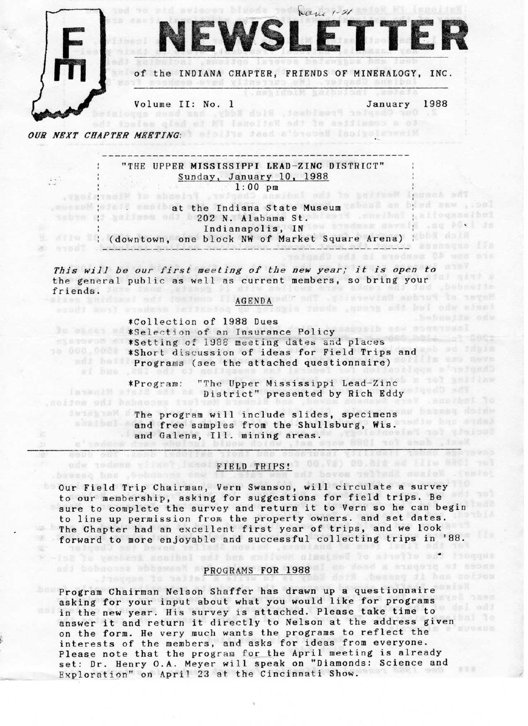

 $\mathcal{L}^{\text{max}}_{\text{max}}$ 

œ.

IEWSLETTEI

of the INDIANA CHAPTER, FRIENDS OF MINERALOGY, INC.

**CARRIOIN** 

overseas bloods god bane 1-21

Volume II: No. 1 Our Gangler President, Hich Sddy, has been got

1988 January

ng doin terang ji bas notica

OUR NEXT CHAPTER MEETING: In the feed addressed isolated and the

a " saddeng.

beased bas , bebnesse saw

Josque lo jalia

"THE UPPER MISSISSIPPI LEAD-ZINC DISTRICT" Sunday, January 10, 1988  $1:00$  pm nasibal sai to pailesM leggal sai Chaster, Priends of Wiserslogy,

---------------------

weekend joint? somibat the Indiana State Museum tabout as by ad anw , , and debto di aniisem edi b202 N. Alabama St. Diesil .mmibni palloqammibni (downtown, one block NW of Market Square Arena) ; a stad Johnson-Andeles also longer hander had have a stateged if

This will be our first meeting of the new year; it is open to the general public as well as current members, so bring your ud ,bebneite friends. less entiteest eds forfono Ill<mark>AGENDA</mark> ad? . Tissevind aubau9 to segeN

## ania who led the group, should also

\*Collection of 1988 Dues Be shown ad \*Selection of an Insurance Policy aussib and assemblant \*Setting of 1988 meeting dates and places 10 000 Whort discussion of ideas for Field Trips and Programs (see the attached questionnaire)

"The Upper Mississippi Lead-Zinc E 1999 and Law \*Program: District" presented by Rich Eddy noijos adj habnoosa fistu

The program will include slides, specimens and the definit and free samples from the Shullsburg, Wis. Jacelal not graine? and Galena, Ill. mining areas. Baxt, dues for 1988 way

ipow dolnw jiea esew buy<br>Stedi bne sousipear yill

## odw todsom viimst Isso: FIELD TRIPS! (0).70) 00.81% od ille 8881 tol<br>Johan, Nelson Shaffer moved the Tental Sate serended, and series

Our Field Trip Chairman, Vern Swanson, will circulate a survey to our membership, asking for suggestions for field trips. Be sure to complete the survey and return it to Vern so he can begin to line up permission from the property owners. and set dates. The Chapter had an excellent first year of trips, and we look forward to more enjoyable and successful collecting trips in '88.

las to verbers scalbel and bes gollvon alsalast to alnotto add inoques

## odi bebacena abbeweek s PROGRAMS FOR 1988 si so dood a sisquiq of secon

Program Chairman Nelson Shaffer has drawn up a questionnaire asking for your input about what you would like for programs in the new year. His survey is attached. Please take time to answer it and return it directly to Nelson at the address given on the form. He very much wants the programs to reflect the interests of the members, and asks for ideas from everyone. Please note that the program for the April meeting is already set: Dr. Henry O.A. Meyer will speak on "Diamonds: Science and Exploration" on April 23 at the Cincinnati Show.